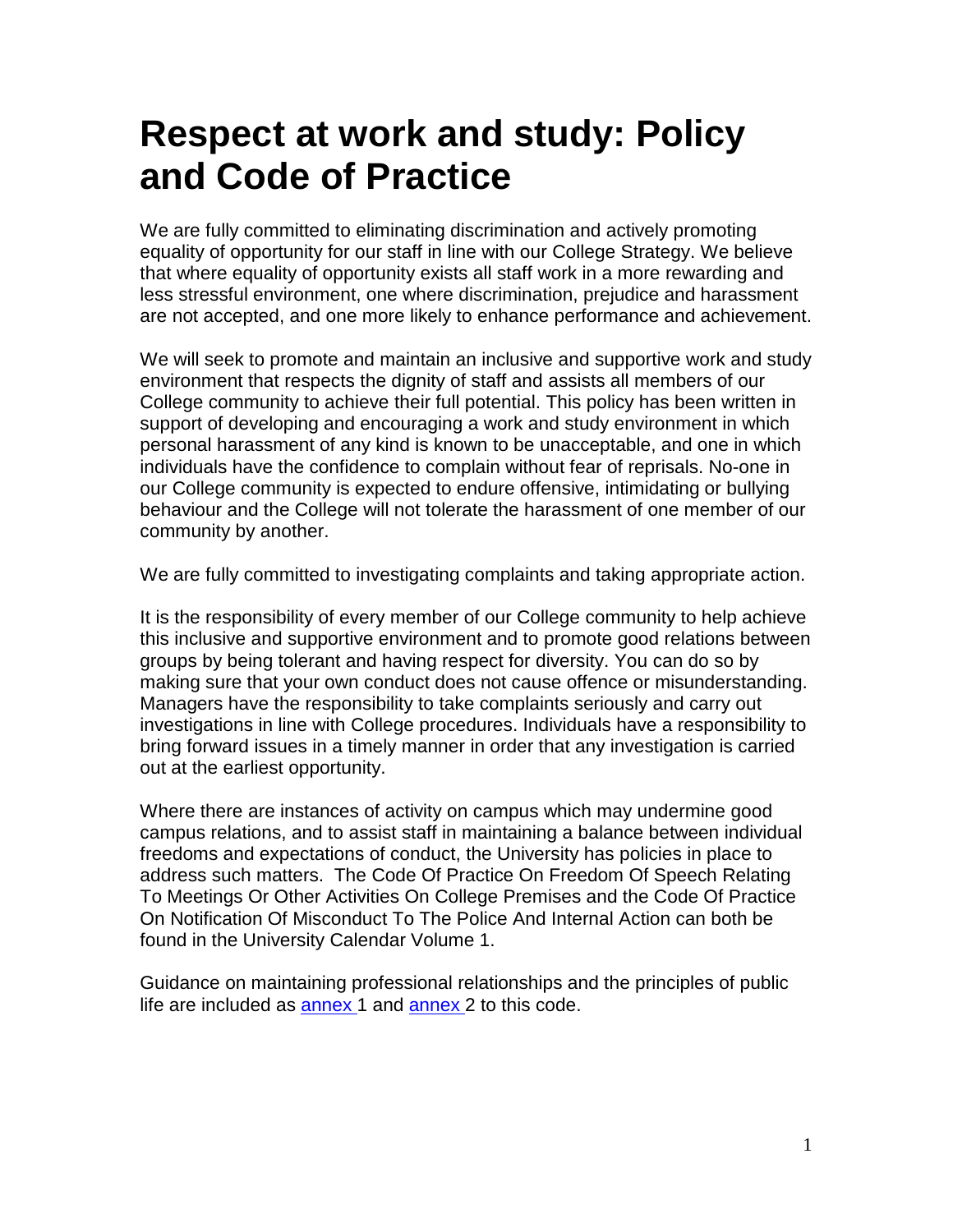# **Respect at work and study: Policy and Code of Practice**

We are fully committed to eliminating discrimination and actively promoting equality of opportunity for our staff in line with our College Strategy. We believe that where equality of opportunity exists all staff work in a more rewarding and less stressful environment, one where discrimination, prejudice and harassment are not accepted, and one more likely to enhance performance and achievement.

We will seek to promote and maintain an inclusive and supportive work and study environment that respects the dignity of staff and assists all members of our College community to achieve their full potential. This policy has been written in support of developing and encouraging a work and study environment in which personal harassment of any kind is known to be unacceptable, and one in which individuals have the confidence to complain without fear of reprisals. No-one in our College community is expected to endure offensive, intimidating or bullying behaviour and the College will not tolerate the harassment of one member of our community by another.

We are fully committed to investigating complaints and taking appropriate action.

It is the responsibility of every member of our College community to help achieve this inclusive and supportive environment and to promote good relations between groups by being tolerant and having respect for diversity. You can do so by making sure that your own conduct does not cause offence or misunderstanding. Managers have the responsibility to take complaints seriously and carry out investigations in line with College procedures. Individuals have a responsibility to bring forward issues in a timely manner in order that any investigation is carried out at the earliest opportunity.

Where there are instances of activity on campus which may undermine good campus relations, and to assist staff in maintaining a balance between individual freedoms and expectations of conduct, the University has policies in place to address such matters. The Code Of Practice On Freedom Of Speech Relating To Meetings Or Other Activities On College Premises and the Code Of Practice On Notification Of Misconduct To The Police And Internal Action can both be found in the University Calendar Volume 1.

Guidance on maintaining professional relationships and the principles of public life are included as [annex 1](http://www.dur.ac.uk/diversity.equality/contact/respect/annex4) and [annex 2](http://www.dur.ac.uk/diversity.equality/contact/respect/annex5) to this code.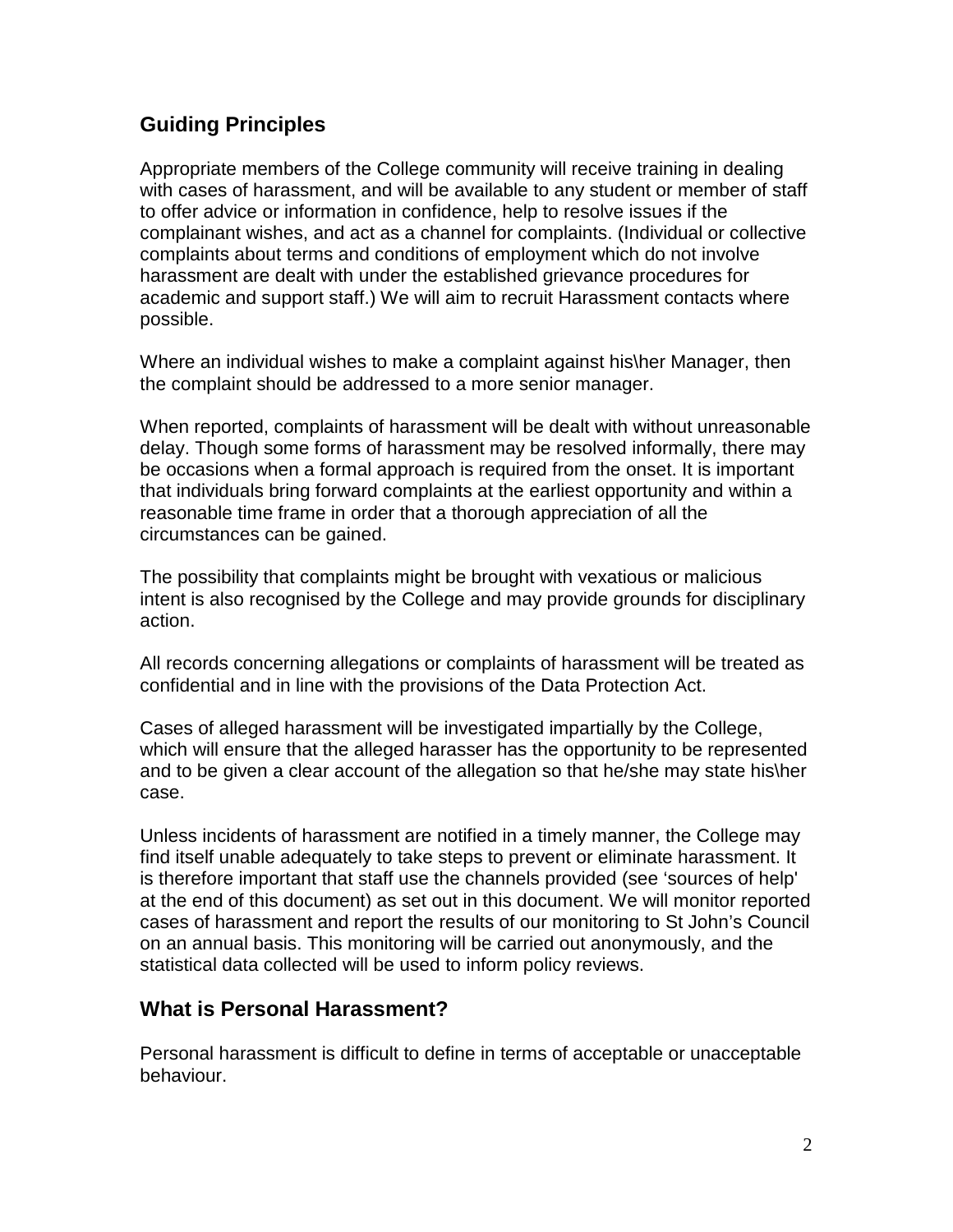## **Guiding Principles**

Appropriate members of the College community will receive training in dealing with cases of harassment, and will be available to any student or member of staff to offer advice or information in confidence, help to resolve issues if the complainant wishes, and act as a channel for complaints. (Individual or collective complaints about terms and conditions of employment which do not involve harassment are dealt with under the established grievance procedures for academic and support staff.) We will aim to recruit Harassment contacts where possible.

Where an individual wishes to make a complaint against his\her Manager, then the complaint should be addressed to a more senior manager.

When reported, complaints of harassment will be dealt with without unreasonable delay. Though some forms of harassment may be resolved informally, there may be occasions when a formal approach is required from the onset. It is important that individuals bring forward complaints at the earliest opportunity and within a reasonable time frame in order that a thorough appreciation of all the circumstances can be gained.

The possibility that complaints might be brought with vexatious or malicious intent is also recognised by the College and may provide grounds for disciplinary action.

All records concerning allegations or complaints of harassment will be treated as confidential and in line with the provisions of the Data Protection Act.

Cases of alleged harassment will be investigated impartially by the College, which will ensure that the alleged harasser has the opportunity to be represented and to be given a clear account of the allegation so that he/she may state his\her case.

Unless incidents of harassment are notified in a timely manner, the College may find itself unable adequately to take steps to prevent or eliminate harassment. It is therefore important that staff use the channels provided (see 'sources of help' at the end of this document) as set out in this document. We will monitor reported cases of harassment and report the results of our monitoring to St John's Council on an annual basis. This monitoring will be carried out anonymously, and the statistical data collected will be used to inform policy reviews.

## **What is Personal Harassment?**

Personal harassment is difficult to define in terms of acceptable or unacceptable behaviour.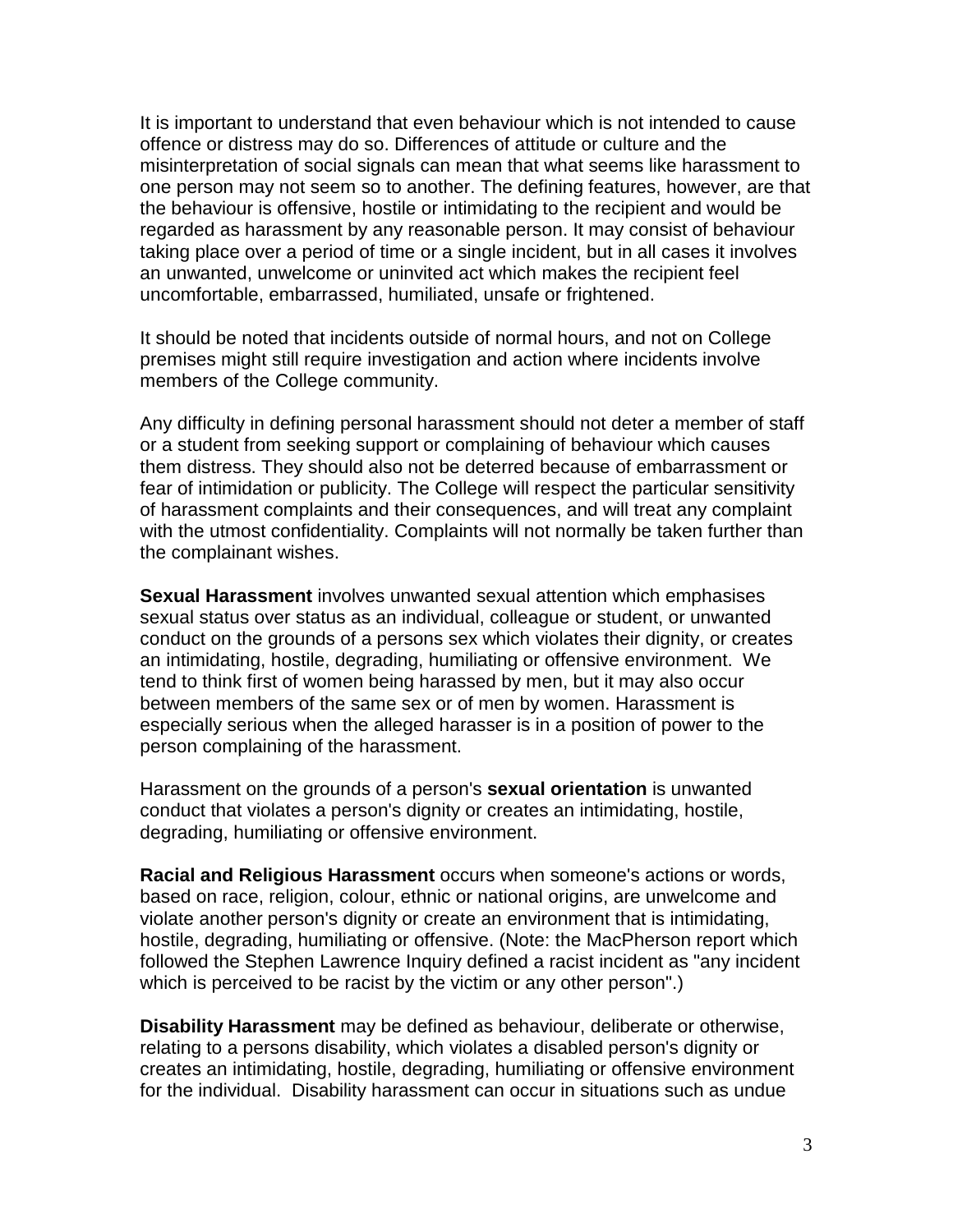It is important to understand that even behaviour which is not intended to cause offence or distress may do so. Differences of attitude or culture and the misinterpretation of social signals can mean that what seems like harassment to one person may not seem so to another. The defining features, however, are that the behaviour is offensive, hostile or intimidating to the recipient and would be regarded as harassment by any reasonable person. It may consist of behaviour taking place over a period of time or a single incident, but in all cases it involves an unwanted, unwelcome or uninvited act which makes the recipient feel uncomfortable, embarrassed, humiliated, unsafe or frightened.

It should be noted that incidents outside of normal hours, and not on College premises might still require investigation and action where incidents involve members of the College community.

Any difficulty in defining personal harassment should not deter a member of staff or a student from seeking support or complaining of behaviour which causes them distress. They should also not be deterred because of embarrassment or fear of intimidation or publicity. The College will respect the particular sensitivity of harassment complaints and their consequences, and will treat any complaint with the utmost confidentiality. Complaints will not normally be taken further than the complainant wishes.

**Sexual Harassment** involves unwanted sexual attention which emphasises sexual status over status as an individual, colleague or student, or unwanted conduct on the grounds of a persons sex which violates their dignity, or creates an intimidating, hostile, degrading, humiliating or offensive environment. We tend to think first of women being harassed by men, but it may also occur between members of the same sex or of men by women. Harassment is especially serious when the alleged harasser is in a position of power to the person complaining of the harassment.

Harassment on the grounds of a person's **sexual orientation** is unwanted conduct that violates a person's dignity or creates an intimidating, hostile, degrading, humiliating or offensive environment.

**Racial and Religious Harassment** occurs when someone's actions or words, based on race, religion, colour, ethnic or national origins, are unwelcome and violate another person's dignity or create an environment that is intimidating, hostile, degrading, humiliating or offensive. (Note: the MacPherson report which followed the Stephen Lawrence Inquiry defined a racist incident as "any incident which is perceived to be racist by the victim or any other person".)

**Disability Harassment** may be defined as behaviour, deliberate or otherwise, relating to a persons disability, which violates a disabled person's dignity or creates an intimidating, hostile, degrading, humiliating or offensive environment for the individual. Disability harassment can occur in situations such as undue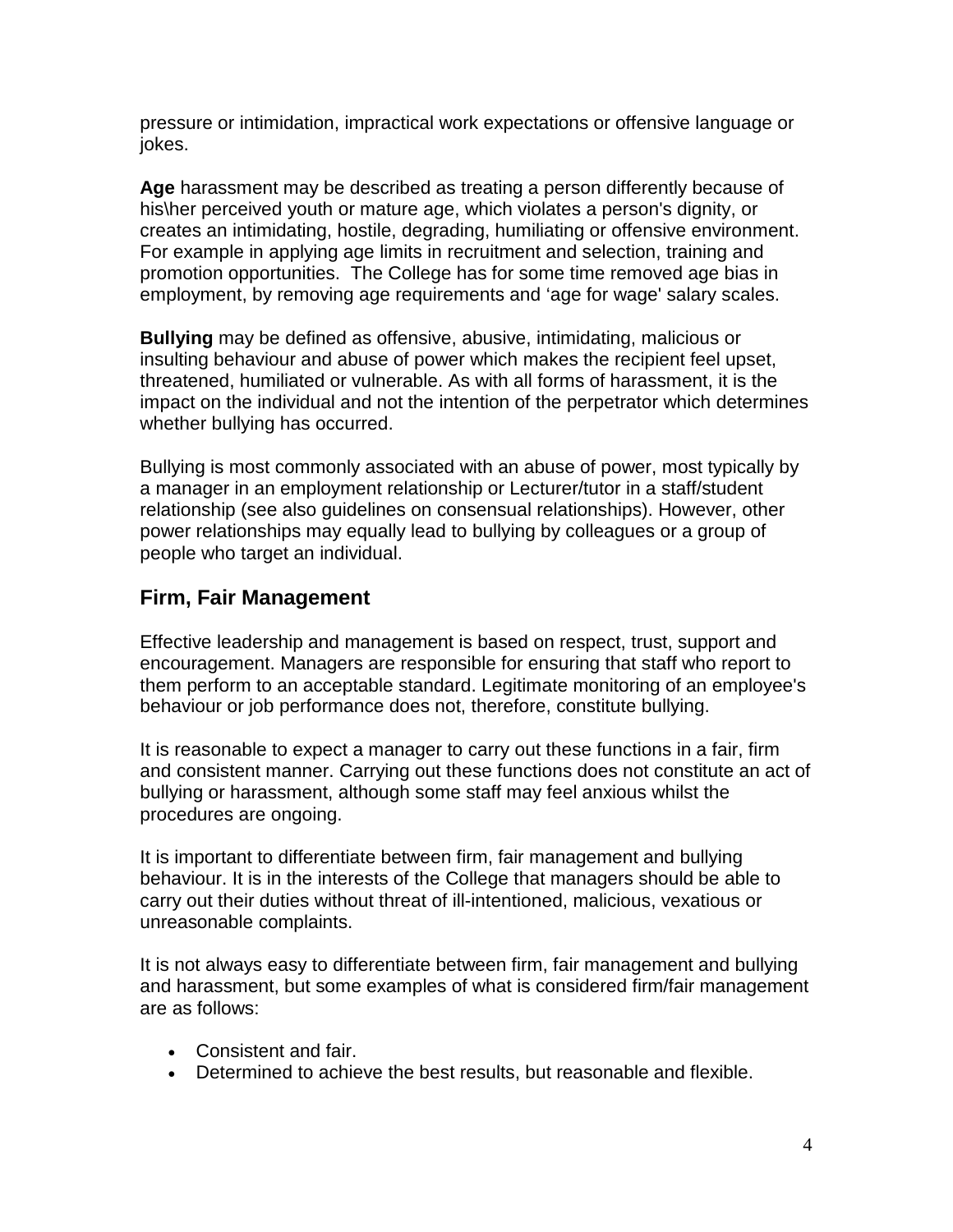pressure or intimidation, impractical work expectations or offensive language or jokes.

**Age** harassment may be described as treating a person differently because of his\her perceived youth or mature age, which violates a person's dignity, or creates an intimidating, hostile, degrading, humiliating or offensive environment. For example in applying age limits in recruitment and selection, training and promotion opportunities. The College has for some time removed age bias in employment, by removing age requirements and 'age for wage' salary scales.

**Bullying** may be defined as offensive, abusive, intimidating, malicious or insulting behaviour and abuse of power which makes the recipient feel upset, threatened, humiliated or vulnerable. As with all forms of harassment, it is the impact on the individual and not the intention of the perpetrator which determines whether bullying has occurred.

Bullying is most commonly associated with an abuse of power, most typically by a manager in an employment relationship or Lecturer/tutor in a staff/student relationship (see also guidelines on consensual relationships). However, other power relationships may equally lead to bullying by colleagues or a group of people who target an individual.

## **Firm, Fair Management**

Effective leadership and management is based on respect, trust, support and encouragement. Managers are responsible for ensuring that staff who report to them perform to an acceptable standard. Legitimate monitoring of an employee's behaviour or job performance does not, therefore, constitute bullying.

It is reasonable to expect a manager to carry out these functions in a fair, firm and consistent manner. Carrying out these functions does not constitute an act of bullying or harassment, although some staff may feel anxious whilst the procedures are ongoing.

It is important to differentiate between firm, fair management and bullying behaviour. It is in the interests of the College that managers should be able to carry out their duties without threat of ill-intentioned, malicious, vexatious or unreasonable complaints.

It is not always easy to differentiate between firm, fair management and bullying and harassment, but some examples of what is considered firm/fair management are as follows:

- Consistent and fair.
- Determined to achieve the best results, but reasonable and flexible.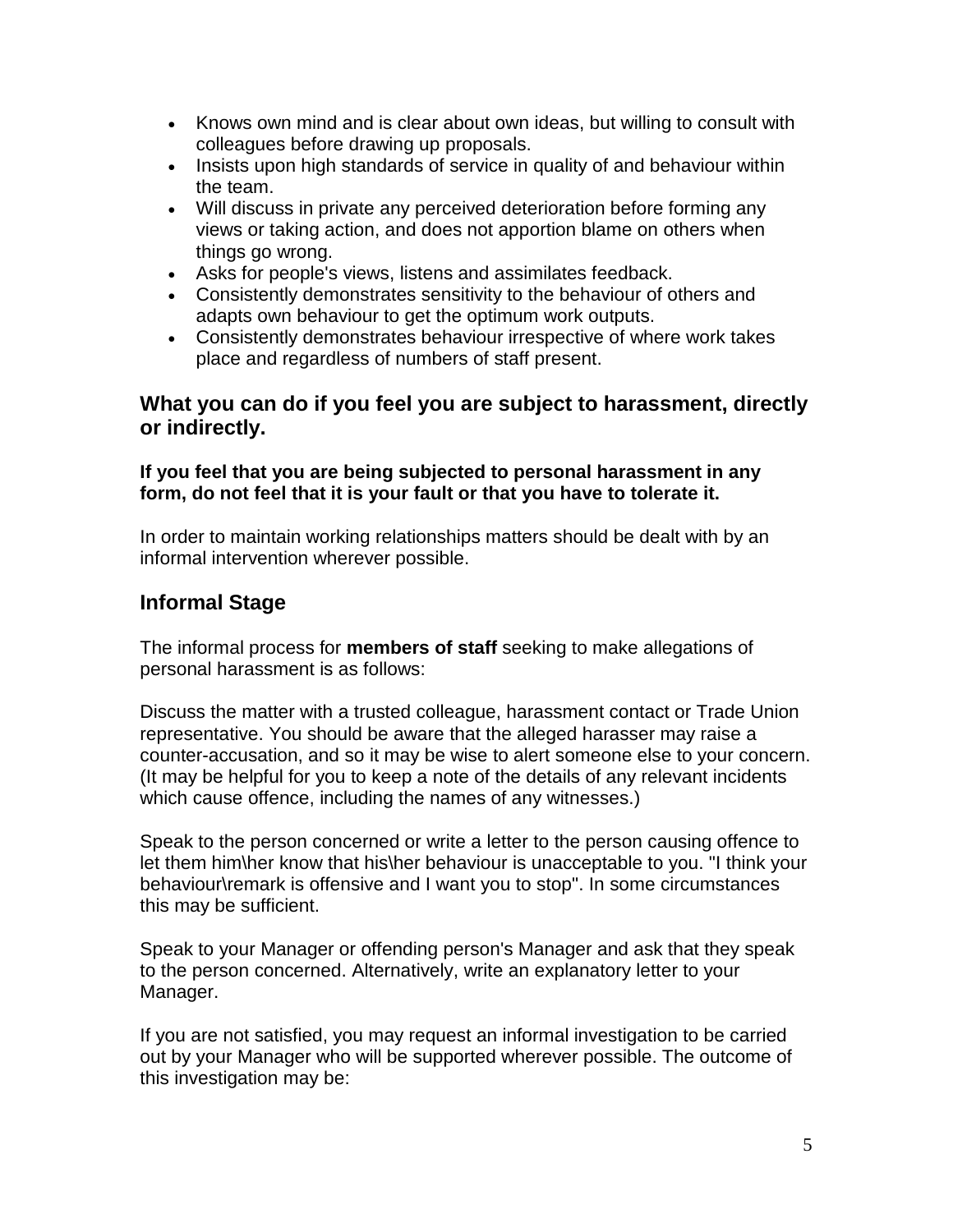- Knows own mind and is clear about own ideas, but willing to consult with colleagues before drawing up proposals.
- Insists upon high standards of service in quality of and behaviour within the team.
- Will discuss in private any perceived deterioration before forming any views or taking action, and does not apportion blame on others when things go wrong.
- Asks for people's views, listens and assimilates feedback.
- Consistently demonstrates sensitivity to the behaviour of others and adapts own behaviour to get the optimum work outputs.
- Consistently demonstrates behaviour irrespective of where work takes place and regardless of numbers of staff present.

## **What you can do if you feel you are subject to harassment, directly or indirectly.**

#### **If you feel that you are being subjected to personal harassment in any form, do not feel that it is your fault or that you have to tolerate it.**

In order to maintain working relationships matters should be dealt with by an informal intervention wherever possible.

## **Informal Stage**

The informal process for **members of staff** seeking to make allegations of personal harassment is as follows:

Discuss the matter with a trusted colleague, harassment contact or Trade Union representative. You should be aware that the alleged harasser may raise a counter-accusation, and so it may be wise to alert someone else to your concern. (It may be helpful for you to keep a note of the details of any relevant incidents which cause offence, including the names of any witnesses.)

Speak to the person concerned or write a letter to the person causing offence to let them him\her know that his\her behaviour is unacceptable to you. "I think your behaviour\remark is offensive and I want you to stop". In some circumstances this may be sufficient.

Speak to your Manager or offending person's Manager and ask that they speak to the person concerned. Alternatively, write an explanatory letter to your Manager.

If you are not satisfied, you may request an informal investigation to be carried out by your Manager who will be supported wherever possible. The outcome of this investigation may be: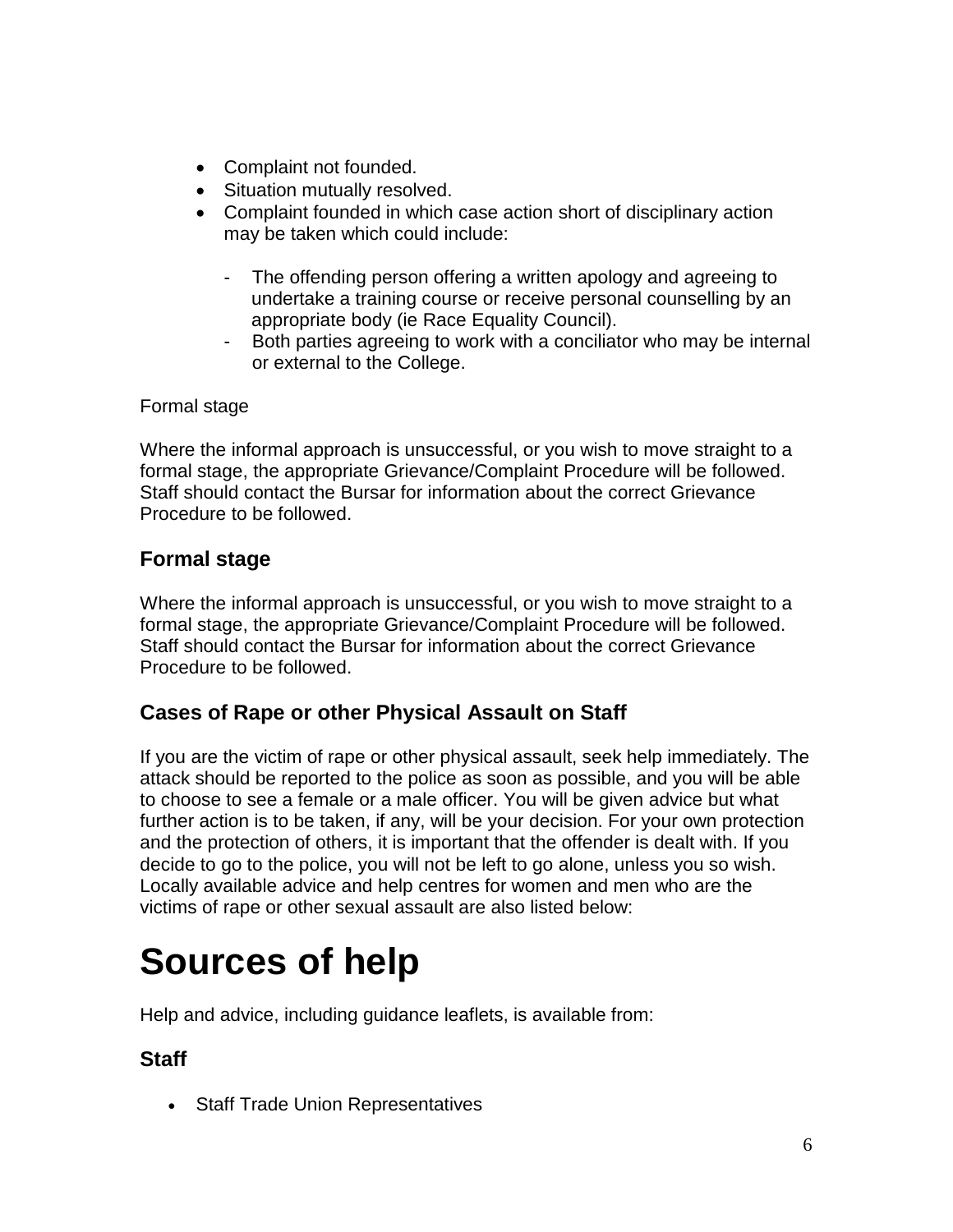- Complaint not founded.
- Situation mutually resolved.
- Complaint founded in which case action short of disciplinary action may be taken which could include:
	- The offending person offering a written apology and agreeing to undertake a training course or receive personal counselling by an appropriate body (ie Race Equality Council).
	- Both parties agreeing to work with a conciliator who may be internal or external to the College.

## Formal stage

Where the informal approach is unsuccessful, or you wish to move straight to a formal stage, the appropriate Grievance/Complaint Procedure will be followed. Staff should contact the Bursar for information about the correct Grievance Procedure to be followed.

## **Formal stage**

Where the informal approach is unsuccessful, or you wish to move straight to a formal stage, the appropriate Grievance/Complaint Procedure will be followed. Staff should contact the Bursar for information about the correct Grievance Procedure to be followed.

## **Cases of Rape or other Physical Assault on Staff**

If you are the victim of rape or other physical assault, seek help immediately. The attack should be reported to the police as soon as possible, and you will be able to choose to see a female or a male officer. You will be given advice but what further action is to be taken, if any, will be your decision. For your own protection and the protection of others, it is important that the offender is dealt with. If you decide to go to the police, you will not be left to go alone, unless you so wish. Locally available advice and help centres for women and men who are the victims of rape or other sexual assault are also listed below:

## **Sources of help**

Help and advice, including guidance leaflets, is available from:

## **Staff**

• Staff Trade Union Representatives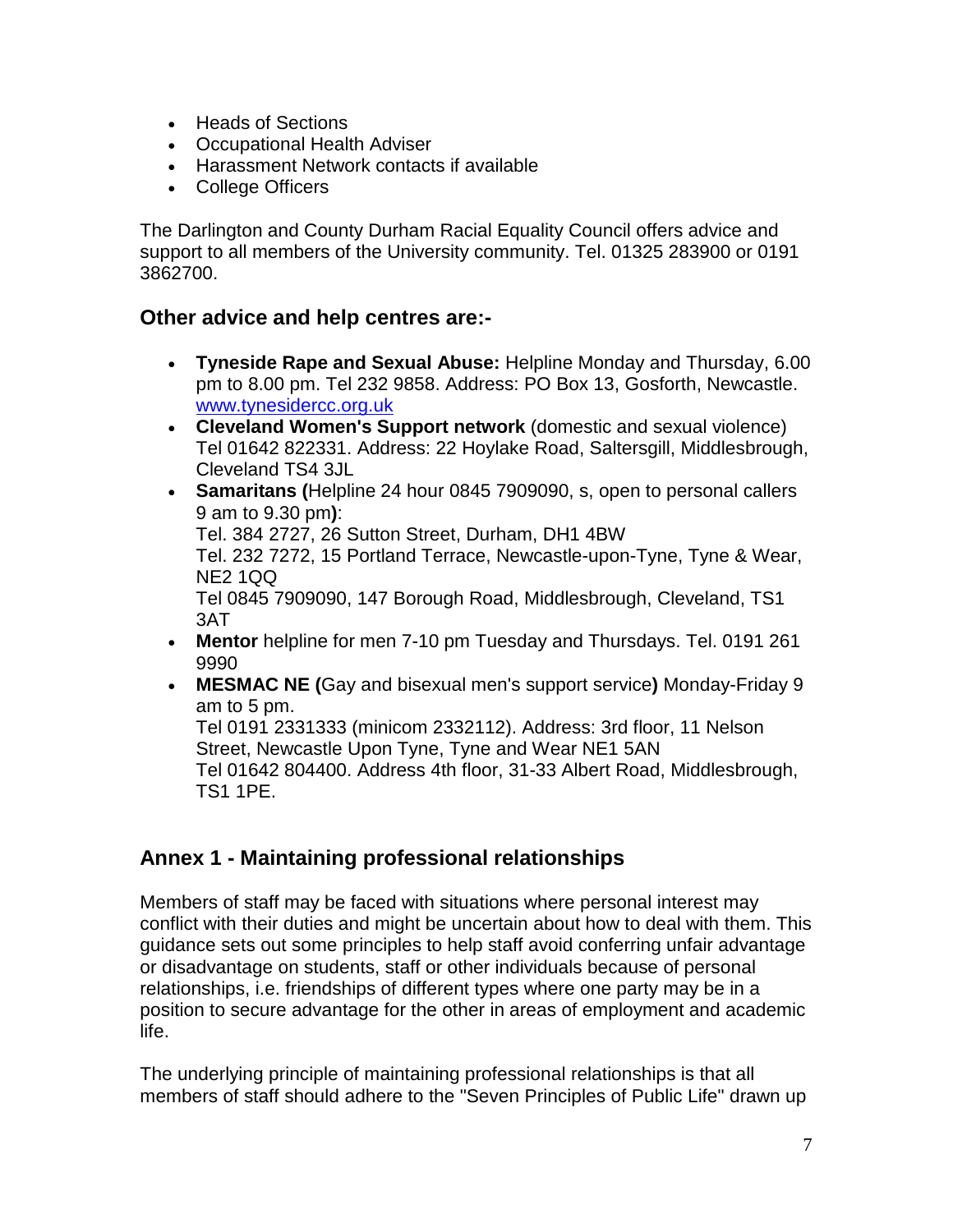- Heads of Sections
- Occupational Health Adviser
- Harassment Network contacts if available
- College Officers

The Darlington and County Durham Racial Equality Council offers advice and support to all members of the University community. Tel. 01325 283900 or 0191 3862700.

## **Other advice and help centres are:-**

- **Tyneside Rape and Sexual Abuse:** Helpline Monday and Thursday, 6.00 pm to 8.00 pm. Tel 232 9858. Address: PO Box 13, Gosforth, Newcastle. [www.tynesidercc.org.uk](http://www.tynesidercc.org.uk/)
- **Cleveland Women's Support network** (domestic and sexual violence) Tel 01642 822331. Address: 22 Hoylake Road, Saltersgill, Middlesbrough, Cleveland TS4 3JL
- **Samaritans (**Helpline 24 hour 0845 7909090, s, open to personal callers 9 am to 9.30 pm**)**: Tel. 384 2727, 26 Sutton Street, Durham, DH1 4BW Tel. 232 7272, 15 Portland Terrace, Newcastle-upon-Tyne, Tyne & Wear, NE2 1QQ Tel 0845 7909090, 147 Borough Road, Middlesbrough, Cleveland, TS1 3AT
- **Mentor** helpline for men 7-10 pm Tuesday and Thursdays. Tel. 0191 261 9990
- **MESMAC NE (**Gay and bisexual men's support service**)** Monday-Friday 9 am to 5 pm.

Tel 0191 2331333 (minicom 2332112). Address: 3rd floor, 11 Nelson Street, Newcastle Upon Tyne, Tyne and Wear NE1 5AN Tel 01642 804400. Address 4th floor, 31-33 Albert Road, Middlesbrough, TS1 1PE.

## **Annex 1 - Maintaining professional relationships**

Members of staff may be faced with situations where personal interest may conflict with their duties and might be uncertain about how to deal with them. This guidance sets out some principles to help staff avoid conferring unfair advantage or disadvantage on students, staff or other individuals because of personal relationships, i.e. friendships of different types where one party may be in a position to secure advantage for the other in areas of employment and academic life.

The underlying principle of maintaining professional relationships is that all members of staff should adhere to the "Seven Principles of Public Life" drawn up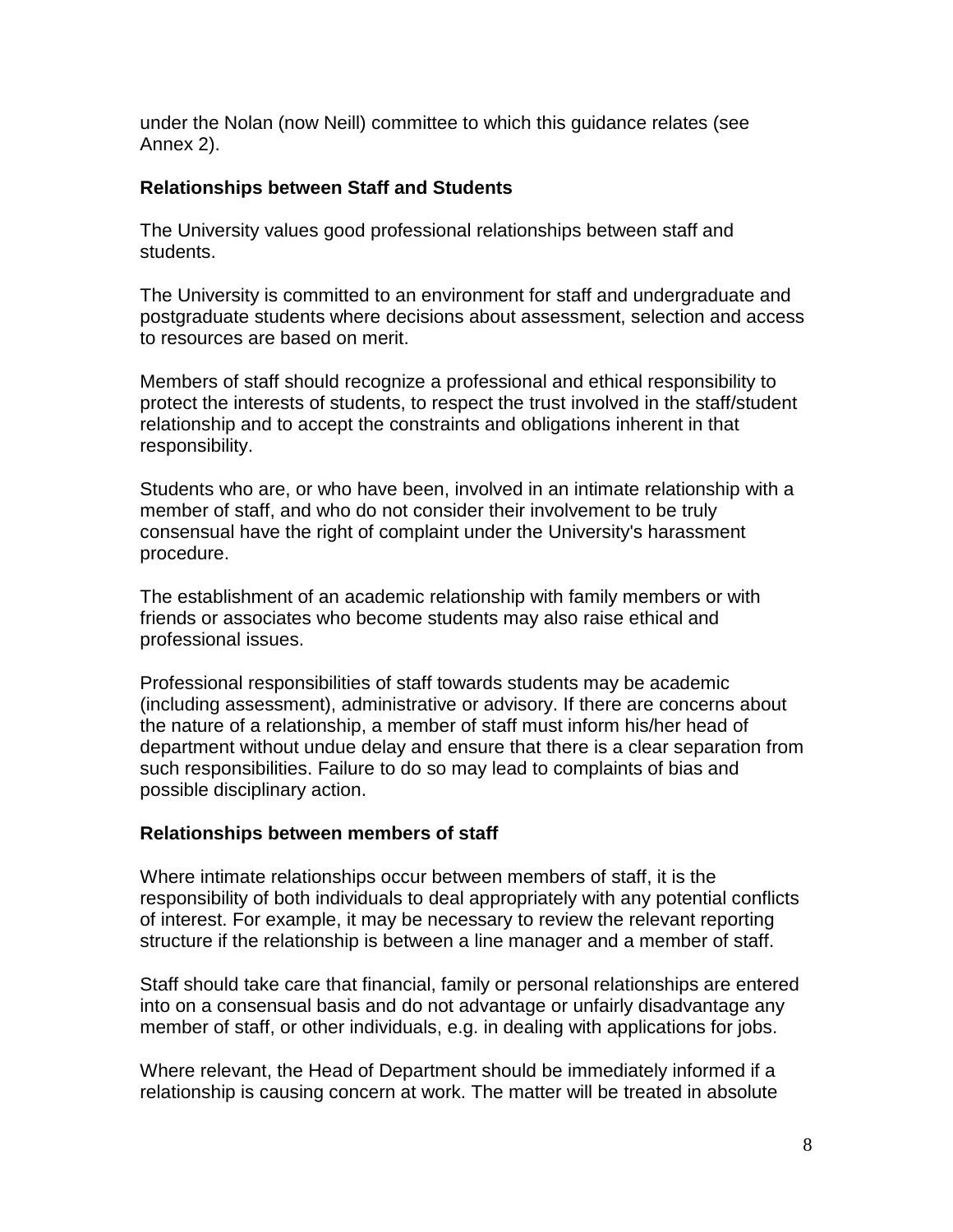under the Nolan (now Neill) committee to which this guidance relates (see Annex [2\)](http://www.dur.ac.uk/diversity.equality/contact/respect/annex5).

#### **Relationships between Staff and Students**

The University values good professional relationships between staff and students.

The University is committed to an environment for staff and undergraduate and postgraduate students where decisions about assessment, selection and access to resources are based on merit.

Members of staff should recognize a professional and ethical responsibility to protect the interests of students, to respect the trust involved in the staff/student relationship and to accept the constraints and obligations inherent in that responsibility.

Students who are, or who have been, involved in an intimate relationship with a member of staff, and who do not consider their involvement to be truly consensual have the right of complaint under the University's harassment procedure.

The establishment of an academic relationship with family members or with friends or associates who become students may also raise ethical and professional issues.

Professional responsibilities of staff towards students may be academic (including assessment), administrative or advisory. If there are concerns about the nature of a relationship, a member of staff must inform his/her head of department without undue delay and ensure that there is a clear separation from such responsibilities. Failure to do so may lead to complaints of bias and possible disciplinary action.

#### **Relationships between members of staff**

Where intimate relationships occur between members of staff, it is the responsibility of both individuals to deal appropriately with any potential conflicts of interest. For example, it may be necessary to review the relevant reporting structure if the relationship is between a line manager and a member of staff.

Staff should take care that financial, family or personal relationships are entered into on a consensual basis and do not advantage or unfairly disadvantage any member of staff, or other individuals, e.g. in dealing with applications for jobs.

Where relevant, the Head of Department should be immediately informed if a relationship is causing concern at work. The matter will be treated in absolute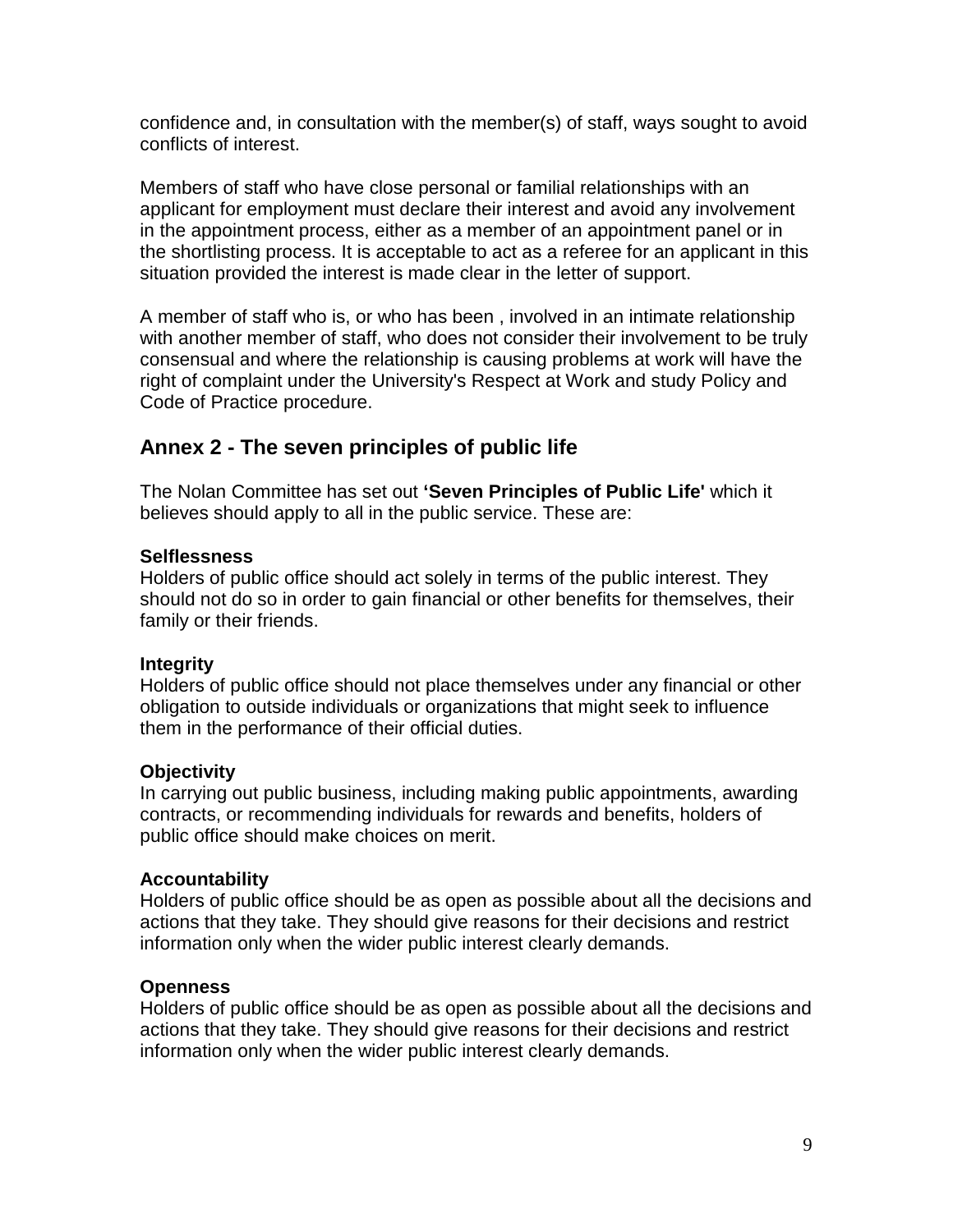confidence and, in consultation with the member(s) of staff, ways sought to avoid conflicts of interest.

Members of staff who have close personal or familial relationships with an applicant for employment must declare their interest and avoid any involvement in the appointment process, either as a member of an appointment panel or in the shortlisting process. It is acceptable to act as a referee for an applicant in this situation provided the interest is made clear in the letter of support.

A member of staff who is, or who has been , involved in an intimate relationship with another member of staff, who does not consider their involvement to be truly consensual and where the relationship is causing problems at work will have the right of complaint under the University's Respect at Work and study Policy and Code of Practice procedure.

## **Annex 2 - The seven principles of public life**

The Nolan Committee has set out **'Seven Principles of Public Life'** which it believes should apply to all in the public service. These are:

#### **Selflessness**

Holders of public office should act solely in terms of the public interest. They should not do so in order to gain financial or other benefits for themselves, their family or their friends.

## **Integrity**

Holders of public office should not place themselves under any financial or other obligation to outside individuals or organizations that might seek to influence them in the performance of their official duties.

## **Objectivity**

In carrying out public business, including making public appointments, awarding contracts, or recommending individuals for rewards and benefits, holders of public office should make choices on merit.

#### **Accountability**

Holders of public office should be as open as possible about all the decisions and actions that they take. They should give reasons for their decisions and restrict information only when the wider public interest clearly demands.

#### **Openness**

Holders of public office should be as open as possible about all the decisions and actions that they take. They should give reasons for their decisions and restrict information only when the wider public interest clearly demands.